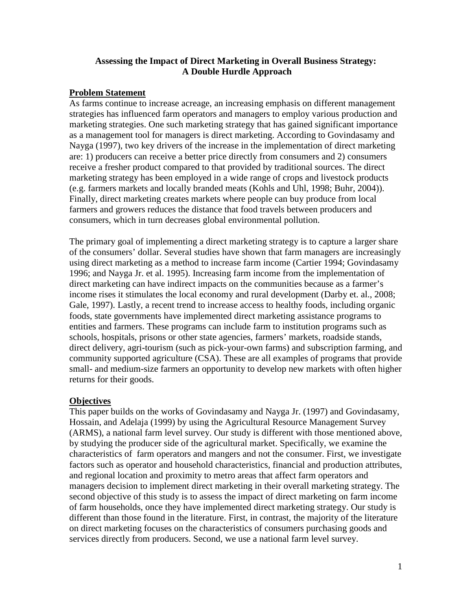# **Assessing the Impact of Direct Marketing in Overall Business Strategy: A Double Hurdle Approach**

### **Problem Statement**

As farms continue to increase acreage, an increasing emphasis on different management strategies has influenced farm operators and managers to employ various production and marketing strategies. One such marketing strategy that has gained significant importance as a management tool for managers is direct marketing. According to Govindasamy and Nayga (1997), two key drivers of the increase in the implementation of direct marketing are: 1) producers can receive a better price directly from consumers and 2) consumers receive a fresher product compared to that provided by traditional sources. The direct marketing strategy has been employed in a wide range of crops and livestock products (e.g. farmers markets and locally branded meats (Kohls and Uhl, 1998; Buhr, 2004)). Finally, direct marketing creates markets where people can buy produce from local farmers and growers reduces the distance that food travels between producers and consumers, which in turn decreases global environmental pollution.

The primary goal of implementing a direct marketing strategy is to capture a larger share of the consumers' dollar. Several studies have shown that farm managers are increasingly using direct marketing as a method to increase farm income (Cartier 1994; Govindasamy 1996; and Nayga Jr. et al. 1995). Increasing farm income from the implementation of direct marketing can have indirect impacts on the communities because as a farmer's income rises it stimulates the local economy and rural development (Darby et. al., 2008; Gale, 1997). Lastly, a recent trend to increase access to healthy foods, including organic foods, state governments have implemented direct marketing assistance programs to entities and farmers. These programs can include farm to institution programs such as schools, hospitals, prisons or other state agencies, farmers' markets, roadside stands, direct delivery, agri-tourism (such as pick-your-own farms) and subscription farming, and community supported agriculture (CSA). These are all examples of programs that provide small- and medium-size farmers an opportunity to develop new markets with often higher returns for their goods.

## **Objectives**

This paper builds on the works of Govindasamy and Nayga Jr. (1997) and Govindasamy, Hossain, and Adelaja (1999) by using the Agricultural Resource Management Survey (ARMS), a national farm level survey. Our study is different with those mentioned above, by studying the producer side of the agricultural market. Specifically, we examine the characteristics of farm operators and mangers and not the consumer. First, we investigate factors such as operator and household characteristics, financial and production attributes, and regional location and proximity to metro areas that affect farm operators and managers decision to implement direct marketing in their overall marketing strategy. The second objective of this study is to assess the impact of direct marketing on farm income of farm households, once they have implemented direct marketing strategy. Our study is different than those found in the literature. First, in contrast, the majority of the literature on direct marketing focuses on the characteristics of consumers purchasing goods and services directly from producers. Second, we use a national farm level survey.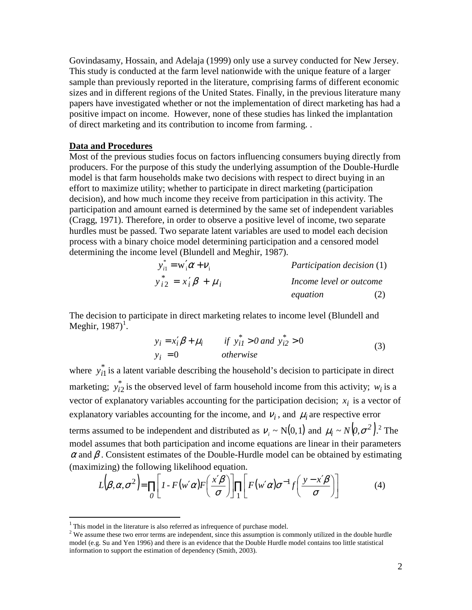Govindasamy, Hossain, and Adelaja (1999) only use a survey conducted for New Jersey. This study is conducted at the farm level nationwide with the unique feature of a larger sample than previously reported in the literature, comprising farms of different economic sizes and in different regions of the United States. Finally, in the previous literature many papers have investigated whether or not the implementation of direct marketing has had a positive impact on income. However, none of these studies has linked the implantation of direct marketing and its contribution to income from farming. .

#### **Data and Procedures**

Most of the previous studies focus on factors influencing consumers buying directly from producers. For the purpose of this study the underlying assumption of the Double-Hurdle model is that farm households make two decisions with respect to direct buying in an effort to maximize utility; whether to participate in direct marketing (participation decision), and how much income they receive from participation in this activity. The participation and amount earned is determined by the same set of independent variables (Cragg, 1971). Therefore, in order to observe a positive level of income, two separate hurdles must be passed. Two separate latent variables are used to model each decision process with a binary choice model determining participation and a censored model determining the income level (Blundell and Meghir, 1987).

$$
y_{i1}^* = w_i' \alpha + v_i
$$
  
\n
$$
y_{i2}^* = x_i' \beta + \mu_i
$$
  
\n
$$
Participation decision (1)
$$
  
\n
$$
hcome level or outcome\nequation (2)
$$

The decision to participate in direct marketing relates to income level (Blundell and Meghir,  $1987$ <sup> $1$ </sup>.

$$
y_i = x_i' \beta + \mu_i \qquad \text{if } y_{i1}^* > 0 \text{ and } y_{i2}^* > 0
$$
  

$$
y_i = 0 \qquad \text{otherwise}
$$
 (3)

where  $y_{i1}^*$  is a latent variable describing the household's decision to participate in direct marketing;  $y_{i2}^*$  is the observed level of farm household income from this activity;  $w_i$  is a vector of explanatory variables accounting for the participation decision;  $x_i$  is a vector of explanatory variables accounting for the income, and  $v_i$ , and  $\mu_i$  are respective error terms assumed to be independent and distributed as  $v_i \sim N(0, 1)$  and  $\mu_i \sim N(0, \sigma^2)^2$ . The model assumes that both participation and income equations are linear in their parameters  $\alpha$  and  $\beta$ . Consistent estimates of the Double-Hurdle model can be obtained by estimating (maximizing) the following likelihood equation.

$$
L(\beta, \alpha, \sigma^2) = \prod_{\substack{0 \\ \sigma}} \left[ 1 - F(w' \alpha) F\left(\frac{x' \beta}{\sigma}\right) \right] \prod_{1} \left[ F(w' \alpha) \sigma^{-1} f\left(\frac{y - x' \beta}{\sigma}\right) \right] \tag{4}
$$

<u>.</u>

 $1$ <sup>1</sup> This model in the literature is also referred as infrequence of purchase model.

 $2$  We assume these two error terms are independent, since this assumption is commonly utilized in the double hurdle model (e.g. Su and Yen 1996) and there is an evidence that the Double Hurdle model contains too little statistical information to support the estimation of dependency (Smith, 2003).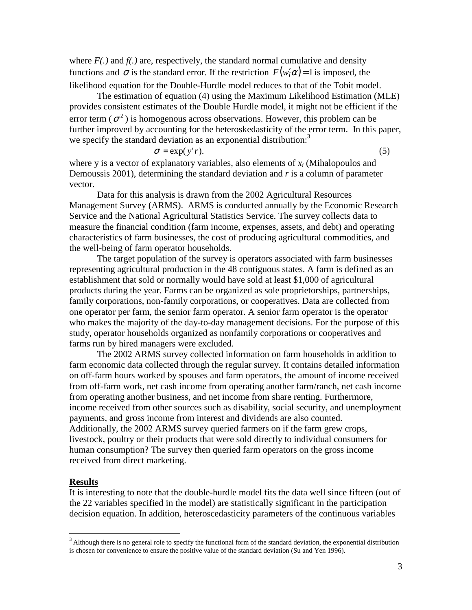where  $F(.)$  and  $f(.)$  are, respectively, the standard normal cumulative and density functions and  $\sigma$  is the standard error. If the restriction  $F(w_i' \alpha) = 1$  is imposed, the likelihood equation for the Double-Hurdle model reduces to that of the Tobit model.

The estimation of equation (4) using the Maximum Likelihood Estimation (MLE) provides consistent estimates of the Double Hurdle model, it might not be efficient if the error term ( $\sigma^2$ ) is homogenous across observations. However, this problem can be further improved by accounting for the heteroskedasticity of the error term. In this paper, we specify the standard deviation as an exponential distribution.<sup>3</sup>

$$
\sigma = \exp(y'r). \tag{5}
$$

where y is a vector of explanatory variables, also elements of *x<sup>i</sup>* (Mihalopoulos and Demoussis 2001), determining the standard deviation and *r* is a column of parameter vector.

Data for this analysis is drawn from the 2002 Agricultural Resources Management Survey (ARMS). ARMS is conducted annually by the Economic Research Service and the National Agricultural Statistics Service. The survey collects data to measure the financial condition (farm income, expenses, assets, and debt) and operating characteristics of farm businesses, the cost of producing agricultural commodities, and the well-being of farm operator households.

The target population of the survey is operators associated with farm businesses representing agricultural production in the 48 contiguous states. A farm is defined as an establishment that sold or normally would have sold at least \$1,000 of agricultural products during the year. Farms can be organized as sole proprietorships, partnerships, family corporations, non-family corporations, or cooperatives. Data are collected from one operator per farm, the senior farm operator. A senior farm operator is the operator who makes the majority of the day-to-day management decisions. For the purpose of this study, operator households organized as nonfamily corporations or cooperatives and farms run by hired managers were excluded.

The 2002 ARMS survey collected information on farm households in addition to farm economic data collected through the regular survey. It contains detailed information on off-farm hours worked by spouses and farm operators, the amount of income received from off-farm work, net cash income from operating another farm/ranch, net cash income from operating another business, and net income from share renting. Furthermore, income received from other sources such as disability, social security, and unemployment payments, and gross income from interest and dividends are also counted. Additionally, the 2002 ARMS survey queried farmers on if the farm grew crops, livestock, poultry or their products that were sold directly to individual consumers for human consumption? The survey then queried farm operators on the gross income received from direct marketing.

### **Results**

<u>.</u>

It is interesting to note that the double-hurdle model fits the data well since fifteen (out of the 22 variables specified in the model) are statistically significant in the participation decision equation. In addition, heteroscedasticity parameters of the continuous variables

<sup>&</sup>lt;sup>3</sup> Although there is no general role to specify the functional form of the standard deviation, the exponential distribution is chosen for convenience to ensure the positive value of the standard deviation (Su and Yen 1996).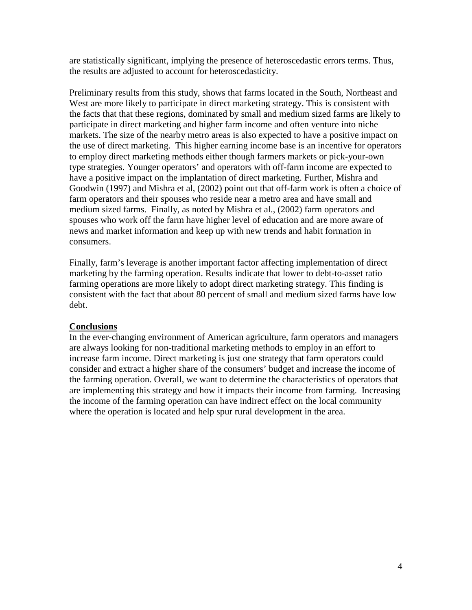are statistically significant, implying the presence of heteroscedastic errors terms. Thus, the results are adjusted to account for heteroscedasticity.

Preliminary results from this study, shows that farms located in the South, Northeast and West are more likely to participate in direct marketing strategy. This is consistent with the facts that that these regions, dominated by small and medium sized farms are likely to participate in direct marketing and higher farm income and often venture into niche markets. The size of the nearby metro areas is also expected to have a positive impact on the use of direct marketing. This higher earning income base is an incentive for operators to employ direct marketing methods either though farmers markets or pick-your-own type strategies. Younger operators' and operators with off-farm income are expected to have a positive impact on the implantation of direct marketing. Further, Mishra and Goodwin (1997) and Mishra et al, (2002) point out that off-farm work is often a choice of farm operators and their spouses who reside near a metro area and have small and medium sized farms. Finally, as noted by Mishra et al., (2002) farm operators and spouses who work off the farm have higher level of education and are more aware of news and market information and keep up with new trends and habit formation in consumers.

Finally, farm's leverage is another important factor affecting implementation of direct marketing by the farming operation. Results indicate that lower to debt-to-asset ratio farming operations are more likely to adopt direct marketing strategy. This finding is consistent with the fact that about 80 percent of small and medium sized farms have low debt.

## **Conclusions**

In the ever-changing environment of American agriculture, farm operators and managers are always looking for non-traditional marketing methods to employ in an effort to increase farm income. Direct marketing is just one strategy that farm operators could consider and extract a higher share of the consumers' budget and increase the income of the farming operation. Overall, we want to determine the characteristics of operators that are implementing this strategy and how it impacts their income from farming. Increasing the income of the farming operation can have indirect effect on the local community where the operation is located and help spur rural development in the area.